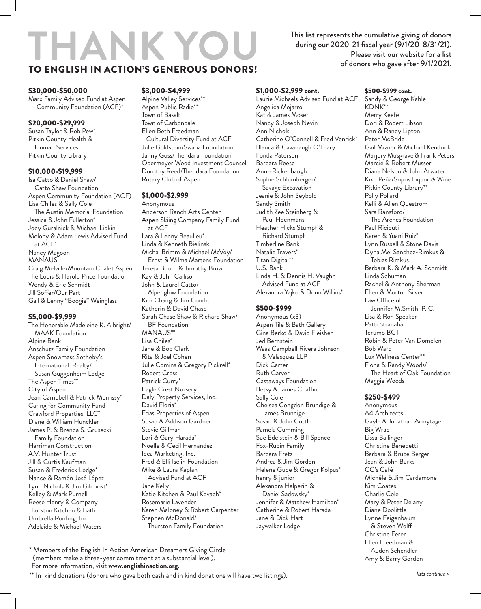# TO ENGLISH IN ACTION'S GENEROUS DONORS! **THANK Y**

### \$30,000-\$50,000

Marx Family Advised Fund at Aspen Community Foundation (ACF)\*

#### \$20,000-\$29,999

Susan Taylor & Rob Pew\* Pitkin County Health & Human Services Pitkin County Library

#### \$10,000-\$19,999

Isa Catto & Daniel Shaw/ Catto Shaw Foundation Aspen Community Foundation (ACF) Lisa Chiles & Sally Cole The Austin Memorial Foundation Jessica & John Fullerton\* Jody Guralnick & Michael Lipkin Melony & Adam Lewis Advised Fund at ACF\* Nancy Magoon MANAUS Craig Melville/Mountain Chalet Aspen The Louis & Harold Price Foundation Wendy & Eric Schmidt Jill Soffer/Our Part Gail & Lenny "Boogie" Weinglass

#### \$5,000-\$9,999

The Honorable Madeleine K. Albright/ MAAK Foundation Alpine Bank Anschutz Family Foundation Aspen Snowmass Sotheby's International Realty/ Susan Guggenheim Lodge The Aspen Times\*\* City of Aspen Jean Campbell & Patrick Morrissy\* Caring for Community Fund Crawford Properties, LLC\* Diane & William Hunckler James P. & Brenda S. Grusecki Family Foundation Harriman Construction A.V. Hunter Trust Jill & Curtis Kaufman Susan & Frederick Lodge\* Nance & Ramón José López Lynn Nichols & Jim Gilchrist\* Kelley & Mark Purnell Reese Henry & Company Thurston Kitchen & Bath Umbrella Roofing, Inc. Adelaide & Michael Waters

## \$3,000-\$4,999

Alpine Valley Services\*\* Aspen Public Radio\*\* Town of Basalt Town of Carbondale Ellen Beth Freedman Cultural Diversity Fund at ACF Julie Goldstein/Swaha Foundation Janny Goss/Thendara Foundation Obermeyer Wood Investment Counsel Dorothy Reed/Thendara Foundation Rotary Club of Aspen

#### \$1,000-\$2,999

Anonymous Anderson Ranch Arts Center Aspen Skiing Company Family Fund at ACF Lara & Lenny Beaulieu\* Linda & Kenneth Bielinski Michal Brimm & Michael McVoy/ Ernst & Wilma Martens Foundation Teresa Booth & Timothy Brown Kay & John Callison John & Laurel Catto/ Alpenglow Foundation Kim Chang & Jim Condit Katherin & David Chase Sarah Chase Shaw & Richard Shaw/ BF Foundation MANAUS\*\* Lisa Chiles\* Jane & Bob Clark Rita & Joel Cohen Julie Comins & Gregory Pickrell\* Robert Cross Patrick Curry\* Eagle Crest Nursery Daly Property Services, Inc. David Floria\* Frias Properties of Aspen Susan & Addison Gardner Stevie Gillman Lori & Gary Harada\* Noelle & Cecil Hernandez Idea Marketing, Inc. Fred & Elli Iselin Foundation Mike & Laura Kaplan Advised Fund at ACF Jane Kelly Katie Kitchen & Paul Kovach\* Rosemarie Lavender Karen Maloney & Robert Carpenter Stephen McDonald/ Thurston Family Foundation

#### \$1,000-\$2,999 cont.

Laurie Michaels Advised Fund at ACF Angelica Mojarro Kat & James Moser Nancy & Joseph Nevin Ann Nichols Catherine O'Connell & Fred Venrick\* Blanca & Cavanaugh O'Leary Fonda Paterson Barbara Reese Anne Rickenbaugh Sophie Schlumberger/ Savage Excavation Jeanie & John Seybold Sandy Smith Judith Zee Steinberg & Paul Hoenmans Heather Hicks Stumpf & Richard Stumpf Timberline Bank Natalie Travers\* Titan Digital\*\* U.S. Bank Linda H. & Dennis H. Vaughn Advised Fund at ACF Alexandra Yajko & Donn Willins\*

#### \$500-\$999

Anonymous (x3) Aspen Tile & Bath Gallery Gina Berko & David Fleisher Jed Bernstein Waas Campbell Rivera Johnson & Velasquez LLP Dick Carter Ruth Carver Castaways Foundation Betsy & James Chaffin Sally Cole Chelsea Congdon Brundige & James Brundige Susan & John Cottle Pamela Cumming Sue Edelstein & Bill Spence Fox-Rubin Family Barbara Fretz Andrea & Jim Gordon Helene Gude & Gregor Kolpus\* henry & junior Alexandra Halperin & Daniel Sadowsky\* Jennifer & Matthew Hamilton\* Catherine & Robert Harada Jane & Dick Hart Jaywalker Lodge

This list represents the cumulative giving of donors during our 2020-21 fiscal year (9/1/20-8/31/21). Please visit our website for a list of donors who gave after 9/1/2021.

### \$500-\$999 cont.

Sandy & George Kahle KDNK\*\* Merry Keefe Dori & Robert Libson Ann & Randy Lipton Peter McBride Gail Mizner & Michael Kendrick Marjory Musgrave & Frank Peters Marcie & Robert Musser Diana Nelson & John Atwater Kiko Peña/Sopris Liquor & Wine Pitkin County Library\*\* Polly Pollard Kelli & Allen Questrom Sara Ransford/ The Arches Foundation Paul Riciputi Karen & Yuani Ruiz\* Lynn Russell & Stone Davis Dyna Mei Sanchez-Rimkus & Tobias Rimkus Barbara K. & Mark A. Schmidt Linda Schuman Rachel & Anthony Sherman Ellen & Morton Silver Law Office of Jennifer M.Smith, P. C. Lisa & Ron Speaker Patti Stranahan Terumo BCT Robin & Peter Van Domelen Bob Ward Lux Wellness Center\*\* Fiona & Randy Woods/ The Heart of Oak Foundation Maggie Woods

# \$250-\$499

Anonymous A4 Architects Gayle & Jonathan Armytage Big Wrap Lissa Ballinger Christine Benedetti Barbara & Bruce Berger Jean & John Burks CC's Café Michéle & Jim Cardamone Kim Coates Charlie Cole Mary & Peter Delany Diane Doolittle Lynne Feigenbaum & Steven Wolff Christine Ferer Ellen Freedman & Auden Schendler Amy & Barry Gordon

\* Members of the English In Action American Dreamers Giving Circle (members make a three-year commitment at a substantial level). For more information, visit **www.englishinaction.org.** 

\*\* In-kind donations (donors who gave both cash and in kind donations will have two listings).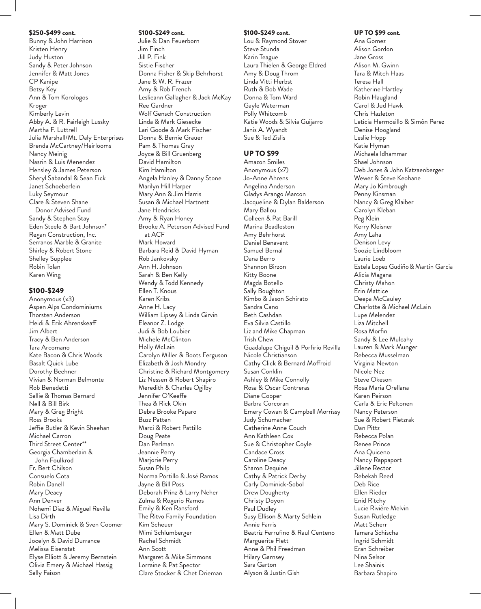#### \$250-\$499 cont.

Bunny & John Harrison Kristen Henry Judy Huston Sandy & Peter Johnson Jennifer & Matt Jones CP Kanipe Betsy Key Ann & Tom Korologos Kroger Kimberly Levin Abby A. & R. Fairleigh Lussky Martha F. Luttrell Julia Marshall/Mt. Daly Enterprises Brenda McCartney/Heirlooms Nancy Meinig Nasrin & Luis Menendez Hensley & James Peterson Sheryl Sabandal & Sean Fick Janet Schoeberlein Luky Seymour Clare & Steven Shane Donor Advised Fund Sandy & Stephen Stay Eden Steele & Bart Johnson\* Regan Construction, Inc. Serranos Marble & Granite Shirley & Robert Stone Shelley Supplee Robin Tolan Karen Wing

#### \$100-\$249

Anonymous (x3) Aspen Alps Condominiums Thorsten Anderson Heidi & Erik Ahrenskeaff Jim Albert Tracy & Ben Anderson Tara Arcomano Kate Bacon & Chris Woods Basalt Quick Lube Dorothy Beehner Vivian & Norman Belmonte Rob Benedetti Sallie & Thomas Bernard Nell & Bill Birk Mary & Greg Bright Ross Brooks Jeffie Butler & Kevin Sheehan Michael Carron Third Street Center\*\* Georgia Chamberlain & John Foulkrod Fr. Bert Chilson Consuelo Cota Robin Danell Mary Deacy Ann Denver Nohemí Diaz & Miguel Revilla Lisa Dirth Mary S. Dominick & Sven Coomer Ellen & Matt Dube Jocelyn & David Durrance Melissa Eisenstat Elyse Elliott & Jeremy Bernstein Olivia Emery & Michael Hassig Sally Faison

#### \$100-\$249 cont.

Julie & Dan Feuerborn Jim Finch Jill P. Fink Sistie Fischer Donna Fisher & Skip Behrhorst Jane & W. R. Frazer Amy & Rob French Leslieann Gallagher & Jack McKay Ree Gardner Wolf Gensch Construction Linda & Mark Giesecke Lari Goode & Mark Fischer Donna & Bernie Grauer Pam & Thomas Gray Joyce & Bill Gruenberg David Hamilton Kim Hamilton Angela Hanley & Danny Stone Marilyn Hill Harper Mary Ann & Jim Harris Susan & Michael Hartnett Jane Hendricks Amy & Ryan Honey Brooke A. Peterson Advised Fund at ACF Mark Howard Barbara Reid & David Hyman Rob Jankovsky Ann H. Johnson Sarah & Ben Kelly Wendy & Todd Kennedy Ellen T. Knous Karen Kribs Anne H. Lacy William Lipsey & Linda Girvin Eleanor Z. Lodge Judi & Bob Loubier Michele McClinton Holly McLain Carolyn Miller & Boots Ferguson Elizabeth & Josh Mondry Christine & Richard Montgomery Liz Nessen & Robert Shapiro Meredith & Charles Ogilby Jennifer O'Keeffe Thea & Rick Okin Debra Brooke Paparo Buzz Patten Marci & Robert Pattillo Doug Peate Dan Perlman Jeannie Perry Marjorie Perry Susan Philp Norma Portillo & José Ramos Jayne & Bill Poss Deborah Prinz & Larry Neher Zulma & Rogerio Ramos Emily & Ken Ransford The Ritvo Family Foundation Kim Scheuer Mimi Schlumberger Rachel Schmidt Ann Scott Margaret & Mike Simmons Lorraine & Pat Spector Clare Stocker & Chet Drieman

#### \$100-\$249 cont.

Lou & Raymond Stover Steve Stunda Karin Teague Laura Thielen & George Eldred Amy & Doug Throm Linda Vitti Herbst Ruth & Bob Wade Donna & Tom Ward Gayle Waterman Polly Whitcomb Katie Woods & Silvia Guijarro Janis A. Wyandt Sue & Ted Zislis

#### UP TO \$99

Amazon Smiles Anonymous (x7) Jo-Anne Ahrens Angelina Anderson Gladys Arango Marcon Jacqueline & Dylan Balderson Mary Ballou Colleen & Pat Barill Marina Beadleston Amy Behrhorst Daniel Benavent Samuel Bernal Dana Berro Shannon Birzon Kitty Boone Magda Botello Sally Boughton Kimbo & Jason Schirato Sandra Cano Beth Cashdan Eva Silvia Castillo Liz and Mike Chapman Trish Chew Guadalupe Chiguil & Porfirio Revilla Nicole Christianson Cathy Click & Bernard Moffroid Susan Conklin Ashley & Mike Connolly Rosa & Oscar Contreras Diane Cooper Barbra Corcoran Emery Cowan & Campbell Morrissy Judy Schumacher Catherine Anne Couch Ann Kathleen Cox Sue & Christopher Coyle Candace Cross Caroline Deacy Sharon Dequine Cathy & Patrick Derby Carly Dominick-Sobol Drew Dougherty Christy Doyon Paul Dudley Susy Ellison & Marty Schlein Annie Farris Beatriz Ferrufino & Raul Centeno Marguerite Flett Anne & Phil Freedman Hilary Garnsey Sara Garton Alyson & Justin Gish

#### UP TO \$99 cont.

Ana Gomez Alison Gordon Jane Gross Alison M. Gwinn Tara & Mitch Haas Teresa Hall Katherine Hartley Robin Haugland Carol & Jud Hawk Chris Hazleton Leticia Hermosillo & Simón Perez Denise Hoogland Leslie Hopp Katie Hyman Michaela Idhammar Shael Johnson Deb Jones & John Katzaenberger Wewer & Steve Keohane Mary Jo Kimbrough Penny Kinsman Nancy & Greg Klaiber Carolyn Kleban Peg Klein Kerry Kleisner Amy Laha Denison Levy Soozie Lindbloom Laurie Loeb Estela Lopez Gudiño & Martin Garcia Alicia Magana Christy Mahon Erin Mattice Deepa McCauley Charlotte & Michael McLain Lupe Melendez Liza Mitchell Rosa Morfin Sandy & Lee Mulcahy Lauren & Mark Munger Rebecca Musselman Virginia Newton Nicole Nez Steve Okeson Rosa Maria Orellana Karen Peirson Carla & Eric Peltonen Nancy Peterson Sue & Robert Pietzrak Dan Pittz Rebecca Polan Renee Prince Ana Quiceno Nancy Rappaport Jillene Rector Rebekah Reed Deb Rice Ellen Rieder Enid Ritchy Lucie Rivière Melvin Susan Rutledge Matt Scherr Tamara Schischa Ingrid Schmidt Eran Schreiber Nina Selsor Lee Shainis Barbara Shapiro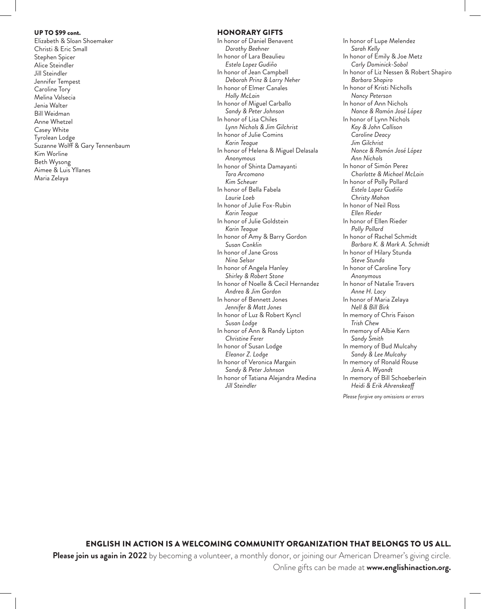#### UP TO \$99 cont.

Elizabeth & Sloan Shoemaker Christi & Eric Small Stephen Spicer Alice Steindler Jill Steindler Jennifer Tempest Caroline Tory Melina Valsecia Jenia Walter Bill Weidman Anne Whetzel Casey White Tyrolean Lodge Suzanne Wolff & Gary Tennenbaum Kim Worline Beth Wysong Aimee & Luis Yllanes Maria Zelaya

#### HONORARY GIFTS

In honor of Daniel Benavent *Dorothy Beehner* In honor of Lara Beaulieu *Estela Lopez Gudiño* In honor of Jean Campbell *Deborah Prinz & Larry Neher* In honor of Elmer Canales *Holly McLain* In honor of Miguel Carballo *Sandy & Peter Johnson* In honor of Lisa Chiles *Lynn Nichols & Jim Gilchrist* In honor of Julie Comins *Karin Teague* In honor of Helena & Miguel Delasala *Anonymous* In honor of Shinta Damayanti *Tara Arcomano Kim Scheuer* In honor of Bella Fabela *Laurie Loeb* In honor of Julie Fox-Rubin *Karin Teague* In honor of Julie Goldstein *Karin Teague* In honor of Amy & Barry Gordon *Susan Conklin* In honor of Jane Gross *Nina Selsor* In honor of Angela Hanley *Shirley & Robert Stone* In honor of Noelle & Cecil Hernandez *Andrea & Jim Gordon* In honor of Bennett Jones *Jennifer & Matt Jones* In honor of Luz & Robert Kyncl *Susan Lodge* In honor of Ann & Randy Lipton *Christine Ferer* In honor of Susan Lodge *Eleanor Z. Lodge* In honor of Veronica Margain *Sandy & Peter Johnson* In honor of Tatiana Alejandra Medina *Jill Steindler*

In honor of Lupe Melendez *Sarah Kelly* In honor of Emily & Joe Metz *Carly Dominick-Sobol* In honor of Liz Nessen & Robert Shapiro *Barbara Shapiro* In honor of Kristi Nicholls *Nancy Peterson* In honor of Ann Nichols *Nance & Ramón José López* In honor of Lynn Nichols *Kay & John Callison Caroline Deacy Jim Gilchrist Nance & Ramón José López Ann Nichols* In honor of Simón Perez *Charlotte & Michael McLain* In honor of Polly Pollard *Estela Lopez Gudiño Christy Mahon* In honor of Neil Ross *Ellen Rieder* In honor of Ellen Rieder *Polly Pollard* In honor of Rachel Schmidt *Barbara K. & Mark A. Schmidt* In honor of Hilary Stunda *Steve Stunda* In honor of Caroline Tory *Anonymous* In honor of Natalie Travers *Anne H. Lacy* In honor of Maria Zelaya *Nell & Bill Birk* In memory of Chris Faison *Trish Chew* In memory of Albie Kern *Sandy Smith* In memory of Bud Mulcahy *Sandy & Lee Mulcahy* In memory of Ronald Rouse *Janis A. Wyandt* In memory of Bill Schoeberlein *Heidi & Erik Ahrenskeaff*

*Please forgive any omissions or errors*

# ENGLISH IN ACTION IS A WELCOMING COMMUNITY ORGANIZATION THAT BELONGS TO US ALL.

**Please join us again in 2022** by becoming a volunteer, a monthly donor, or joining our American Dreamer's giving circle. Online gifts can be made at **www.englishinaction.org.**